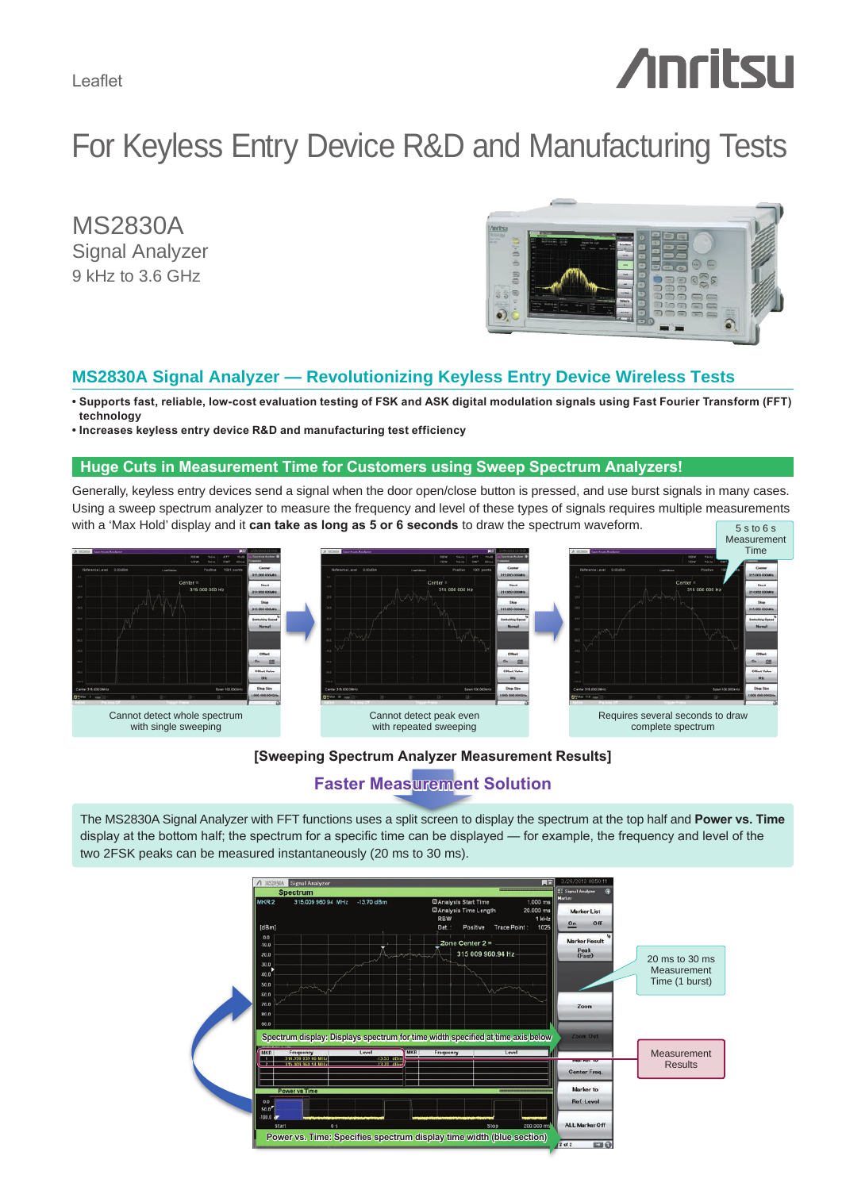Leaflet

# *Anritsu*

# For Keyless Entry Device R&D and Manufacturing Tests

MS2830A Signal Analyzer 9 kHz to 3.6 GHz



## **MS2830A Signal Analyzer — Revolutionizing Keyless Entry Device Wireless Tests**

- **Supports fast, reliable, low-cost evaluation testing of FSK and ASK digital modulation signals using Fast Fourier Transform (FFT) technology**
- **Increases keyless entry device R&D and manufacturing test efficiency**

#### **Huge Cuts in Measurement Time for Customers using Sweep Spectrum Analyzers!**

Generally, keyless entry devices send a signal when the door open/close button is pressed, and use burst signals in many cases. Using a sweep spectrum analyzer to measure the frequency and level of these types of signals requires multiple measurements with a 'Max Hold' display and it **can take as long as 5 or 6 seconds** to draw the spectrum waveform. 5 s to 6 s



#### **[Sweeping Spectrum Analyzer Measurement Results]**

## **Faster Measurement Solution**

The MS2830A Signal Analyzer with FFT functions uses a split screen to display the spectrum at the top half and **Power vs. Time** display at the bottom half; the spectrum for a specific time can be displayed — for example, the frequency and level of the two 2FSK peaks can be measured instantaneously (20 ms to 30 ms).